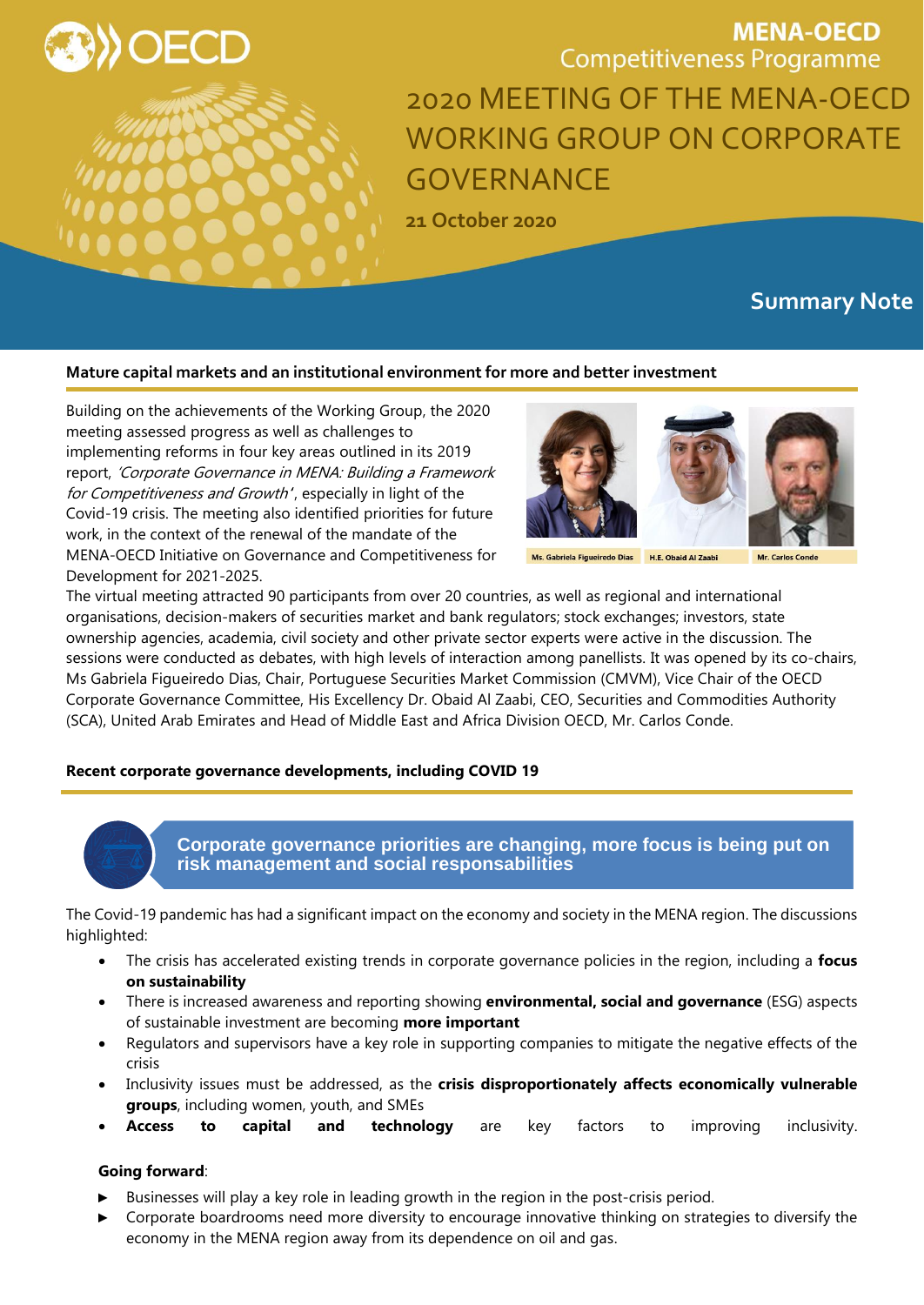

**MENA-OECD Competitiveness Programme** 2020 MEETING OF THE MENA-OECD WORKING GROUP ON CORPORATE GOVERNANCE

**21 October 2020**

# **Summary Note**

#### **Mature capital markets and an institutional environment for more and better investment**

Building on the achievements of the Working Group, the 2020 meeting assessed progress as well as challenges to implementing reforms in four key areas outlined in its 2019 report, 'Corporate Governance in MENA: Building a Framework for Competitiveness and Growth', especially in light of the Covid-19 crisis. The meeting also identified priorities for future work, in the context of the renewal of the mandate of the MENA-OECD Initiative on Governance and Competitiveness for Development for 2021-2025.



Ms. Gabriela Figueiredo Dias H.E. Obaid Al Zaabi

The virtual meeting attracted 90 participants from over 20 countries, as well as regional and international organisations, decision-makers of securities market and bank regulators; stock exchanges; investors, state ownership agencies, academia, civil society and other private sector experts were active in the discussion. The sessions were conducted as debates, with high levels of interaction among panellists. It was opened by its co-chairs, Ms Gabriela Figueiredo Dias, Chair, Portuguese Securities Market Commission (CMVM), Vice Chair of the OECD Corporate Governance Committee, His Excellency Dr. Obaid Al Zaabi, CEO, Securities and Commodities Authority (SCA), United Arab Emirates and Head of Middle East and Africa Division OECD, Mr. Carlos Conde.

#### **Recent corporate governance developments, including COVID 19**



**Corporate governance priorities are changing, more focus is being put on risk management and social responsabilities**

The Covid-19 pandemic has had a significant impact on the economy and society in the MENA region. The discussions highlighted:

- The crisis has accelerated existing trends in corporate governance policies in the region, including a **focus on sustainability**
- There is increased awareness and reporting showing **environmental, social and governance** (ESG) aspects of sustainable investment are becoming **more important**
- Regulators and supervisors have a key role in supporting companies to mitigate the negative effects of the crisis
- Inclusivity issues must be addressed, as the **crisis disproportionately affects economically vulnerable groups**, including women, youth, and SMEs
- **Access to capital and technology** are key factors to improving inclusivity.

# **Going forward**:

- Businesses will play a key role in leading growth in the region in the post-crisis period.
- ► Corporate boardrooms need more diversity to encourage innovative thinking on strategies to diversify the economy in the MENA region away from its dependence on oil and gas.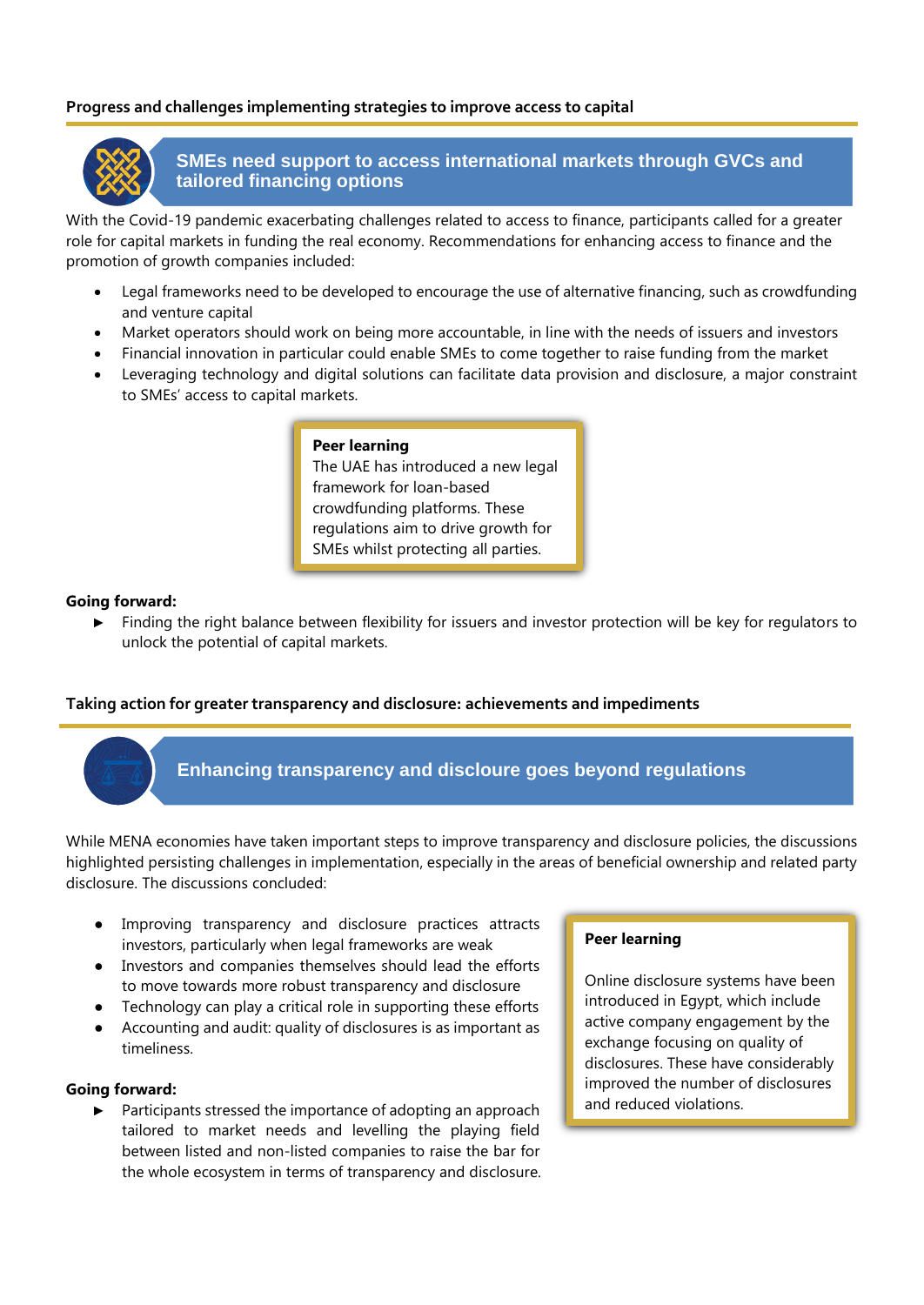# **Progress and challenges implementing strategies to improve access to capital**



# **SMEs need support to access international markets through GVCs and tailored financing options**

With the Covid-19 pandemic exacerbating challenges related to access to finance, participants called for a greater role for capital markets in funding the real economy. Recommendations for enhancing access to finance and the promotion of growth companies included:

- Legal frameworks need to be developed to encourage the use of alternative financing, such as crowdfunding and venture capital
- Market operators should work on being more accountable, in line with the needs of issuers and investors
- Financial innovation in particular could enable SMEs to come together to raise funding from the market
- Leveraging technology and digital solutions can facilitate data provision and disclosure, a major constraint to SMEs' access to capital markets.

# **Peer learning**

The UAE has introduced a new legal framework for loan-based crowdfunding platforms. These regulations aim to drive growth for SMEs whilst protecting all parties.

#### **Going forward:**

Finding the right balance between flexibility for issuers and investor protection will be key for regulators to unlock the potential of capital markets.

# **Taking action for greater transparency and disclosure: achievements and impediments**



# **Enhancing transparency and discloure goes beyond regulations**

While MENA economies have taken important steps to improve transparency and disclosure policies, the discussions highlighted persisting challenges in implementation, especially in the areas of beneficial ownership and related party disclosure. The discussions concluded:

- Improving transparency and disclosure practices attracts investors, particularly when legal frameworks are weak
- Investors and companies themselves should lead the efforts to move towards more robust transparency and disclosure
- Technology can play a critical role in supporting these efforts
- Accounting and audit: quality of disclosures is as important as timeliness.

#### **Going forward:**

► Participants stressed the importance of adopting an approach tailored to market needs and levelling the playing field between listed and non-listed companies to raise the bar for the whole ecosystem in terms of transparency and disclosure.

#### **Peer learning**

Online disclosure systems have been introduced in Egypt, which include active company engagement by the exchange focusing on quality of disclosures. These have considerably improved the number of disclosures and reduced violations.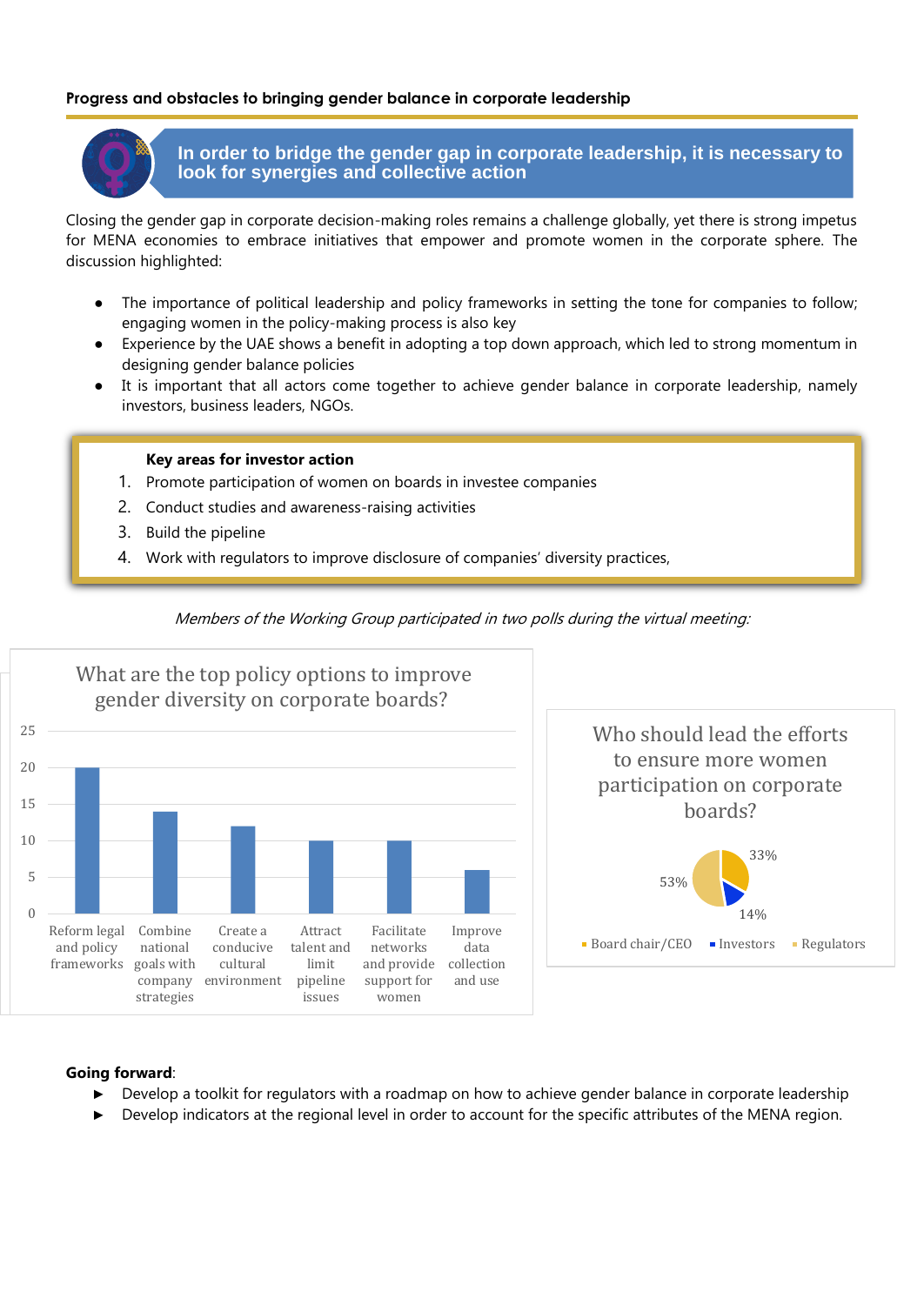# **Progress and obstacles to bringing gender balance in corporate leadership**



**In order to bridge the gender gap in corporate leadership, it is necessary to look for synergies and collective action**

Closing the gender gap in corporate decision-making roles remains a challenge globally, yet there is strong impetus for MENA economies to embrace initiatives that empower and promote women in the corporate sphere. The discussion highlighted:

- The importance of political leadership and policy frameworks in setting the tone for companies to follow; engaging women in the policy-making process is also key
- Experience by the UAE shows a benefit in adopting a top down approach, which led to strong momentum in designing gender balance policies
- It is important that all actors come together to achieve gender balance in corporate leadership, namely investors, business leaders, NGOs.

#### **Key areas for investor action**

- 1. Promote participation of women on boards in investee companies
- 2. Conduct studies and awareness-raising activities
- 3. Build the pipeline
- 4. Work with regulators to improve disclosure of companies' diversity practices,



Members of the Working Group participated in two polls during the virtual meeting:



#### **Going forward**:

- Develop a toolkit for regulators with a roadmap on how to achieve gender balance in corporate leadership
- Develop indicators at the regional level in order to account for the specific attributes of the MENA region.